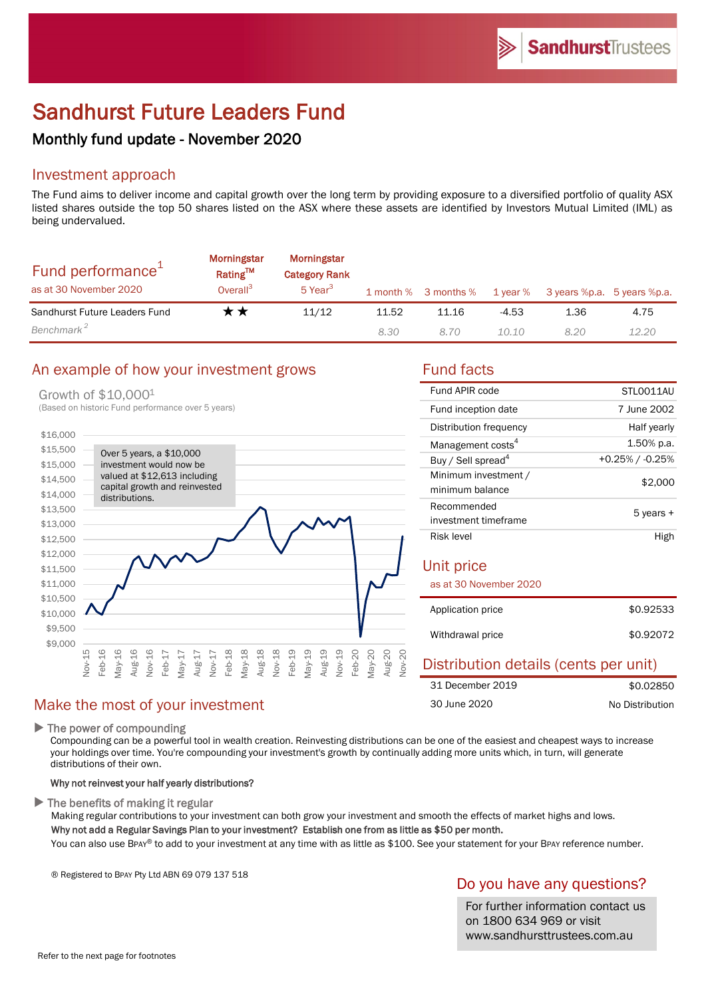# Sandhurst Future Leaders Fund

# Monthly fund update - November 2020

# Investment approach

The Fund aims to deliver income and capital growth over the long term by providing exposure to a diversified portfolio of quality ASX listed shares outside the top 50 shares listed on the ASX where these assets are identified by Investors Mutual Limited (IML) as being undervalued.

| Fund performance <sup>1</sup><br>as at 30 November 2020 | <b>Morningstar</b><br>Rating <sup>TM</sup><br>Overall <sup>3</sup> | Morningstar<br><b>Category Rank</b><br>5 Year <sup>3</sup> |       | 1 month % 3 months % | 1 year % | 3 years %p.a. 5 years %p.a. |       |
|---------------------------------------------------------|--------------------------------------------------------------------|------------------------------------------------------------|-------|----------------------|----------|-----------------------------|-------|
| Sandhurst Future Leaders Fund                           | r *                                                                | 11/12                                                      | 11.52 | 11.16                | $-4.53$  | 1.36                        | 4.75  |
| Benchmark <sup>2</sup>                                  |                                                                    |                                                            | 8.30  | 8.70                 | 10.10    | 8.20                        | 12.20 |

# An example of how your investment grows Fund facts

#### Growth of \$10,0001



| Fund APIR code                          | STLO011AU          |  |  |
|-----------------------------------------|--------------------|--|--|
| Fund inception date                     | 7 June 2002        |  |  |
| Distribution frequency                  | Half yearly        |  |  |
| Management costs <sup>4</sup>           | 1.50% p.a.         |  |  |
| Buy / Sell spread <sup>4</sup>          | $+0.25\%$ / -0.25% |  |  |
| Minimum investment /<br>minimum balance | \$2,000            |  |  |
| Recommended                             | 5 years +          |  |  |
| investment timeframe                    |                    |  |  |
| Risk level                              | High               |  |  |
| Unit price<br>as at 30 November 2020    |                    |  |  |
| Application price                       | \$0.92533          |  |  |
| Withdrawal price                        | \$0.92072          |  |  |
| Dietribution dataile (cante nar unit)   |                    |  |  |

| <b>Prothodom actually (corresponding)</b> |                 |
|-------------------------------------------|-----------------|
| 31 December 2019                          | \$0.02850       |
| 30 June 2020                              | No Distribution |

# Make the most of your investment

 $\blacktriangleright$  The power of compounding

Compounding can be a powerful tool in wealth creation. Reinvesting distributions can be one of the easiest and cheapest ways to increase your holdings over time. You're compounding your investment's growth by continually adding more units which, in turn, will generate distributions of their own.

### Why not reinvest your half yearly distributions?

 $\blacktriangleright$  The benefits of making it regular

Making regular contributions to your investment can both grow your investment and smooth the effects of market highs and lows. Why not add a Regular Savings Plan to your investment? Establish one from as little as \$50 per month.

You can also use BPAY® to add to your investment at any time with as little as \$100. See your statement for your BPAY reference number.

® Registered to BPAY Pty Ltd ABN 69 079 137 518

# Do you have any questions?

For further information contact us on 1800 634 969 or visit www.sandhursttrustees.com.au